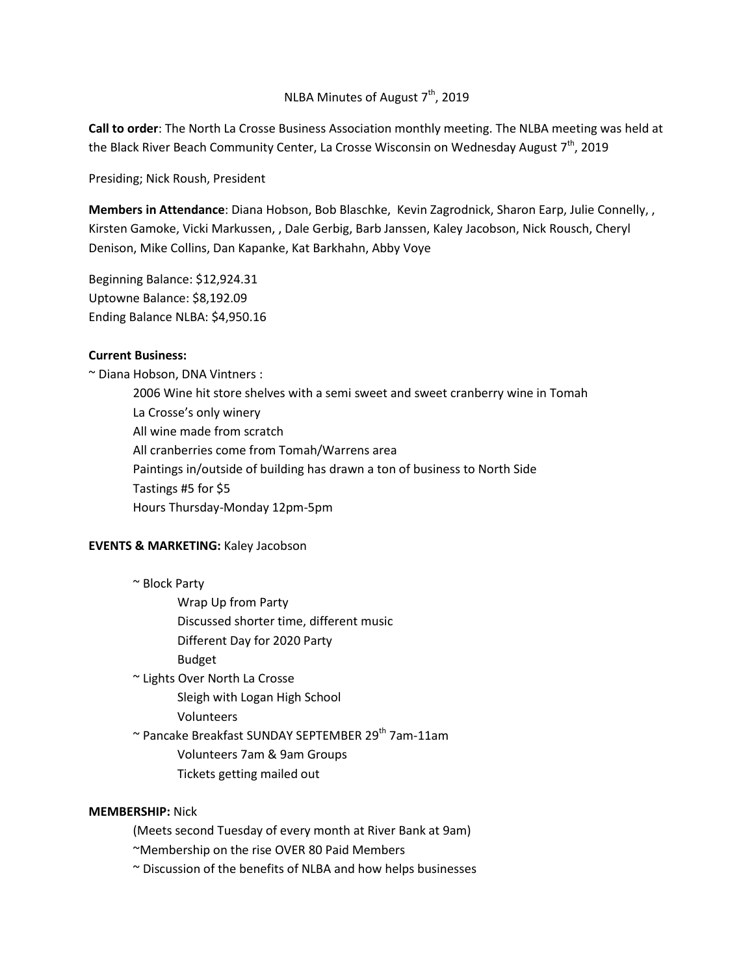# NLBA Minutes of August 7<sup>th</sup>, 2019

**Call to order**: The North La Crosse Business Association monthly meeting. The NLBA meeting was held at the Black River Beach Community Center, La Crosse Wisconsin on Wednesday August  $7<sup>th</sup>$ , 2019

Presiding; Nick Roush, President

**Members in Attendance**: Diana Hobson, Bob Blaschke, Kevin Zagrodnick, Sharon Earp, Julie Connelly, , Kirsten Gamoke, Vicki Markussen, , Dale Gerbig, Barb Janssen, Kaley Jacobson, Nick Rousch, Cheryl Denison, Mike Collins, Dan Kapanke, Kat Barkhahn, Abby Voye

Beginning Balance: \$12,924.31 Uptowne Balance: \$8,192.09 Ending Balance NLBA: \$4,950.16

#### **Current Business:**

~ Diana Hobson, DNA Vintners :

2006 Wine hit store shelves with a semi sweet and sweet cranberry wine in Tomah La Crosse's only winery All wine made from scratch All cranberries come from Tomah/Warrens area Paintings in/outside of building has drawn a ton of business to North Side Tastings #5 for \$5 Hours Thursday-Monday 12pm-5pm

#### **EVENTS & MARKETING:** Kaley Jacobson

~ Block Party

Wrap Up from Party

Discussed shorter time, different music

- Different Day for 2020 Party
- Budget

~ Lights Over North La Crosse

Sleigh with Logan High School

Volunteers

~ Pancake Breakfast SUNDAY SEPTEMBER 29<sup>th</sup> 7am-11am

Volunteers 7am & 9am Groups

Tickets getting mailed out

### **MEMBERSHIP:** Nick

(Meets second Tuesday of every month at River Bank at 9am)

~Membership on the rise OVER 80 Paid Members

~ Discussion of the benefits of NLBA and how helps businesses